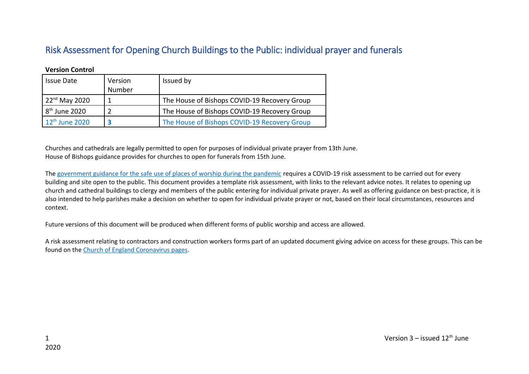## Risk Assessment for Opening Church Buildings to the Public: individual prayer and funerals

| $\sqrt{2}$                 |                   |                                              |
|----------------------------|-------------------|----------------------------------------------|
| <b>Issue Date</b>          | Version<br>Number | Issued by                                    |
| $122nd$ May 2020           |                   | The House of Bishops COVID-19 Recovery Group |
| $8th$ June 2020            |                   | The House of Bishops COVID-19 Recovery Group |
| $12^{\text{th}}$ June 2020 |                   | The House of Bishops COVID-19 Recovery Group |

**Version Control** 

Churches and cathedrals are legally permitted to open for purposes of individual private prayer from 13th June. House of Bishops guidance provides for churches to open for funerals from 15th June.

The [government guidance for the safe use of places of worship during the pandemic](https://www.gov.uk/government/publications/covid-19-guidance-for-the-safe-use-of-places-of-worship-during-the-pandemic/covid-19-guidance-for-the-safe-use-of-places-of-worship-during-the-pandemic) requires a COVID-19 risk assessment to be carried out for every building and site open to the public. This document provides a template risk assessment, with links to the relevant advice notes. It relates to opening up church and cathedral buildings to clergy and members of the public entering for individual private prayer. As well as offering guidance on best-practice, it is also intended to help parishes make a decision on whether to open for individual private prayer or not, based on their local circumstances, resources and context.

Future versions of this document will be produced when different forms of public worship and access are allowed.

A risk assessment relating to contractors and construction workers forms part of an updated document giving advice on access for these groups. This can be found on the [Church of England Coronavirus pages.](https://www.churchofengland.org/more/media-centre/coronavirus-covid-19-guidance-churches)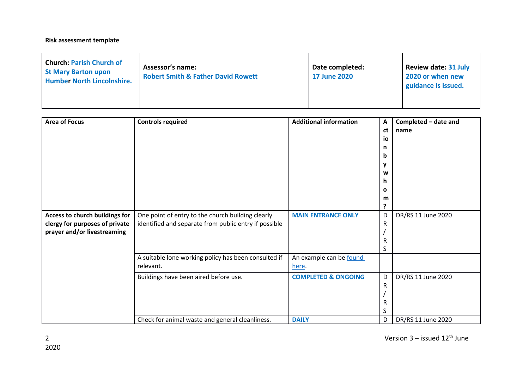## **Risk assessment template**

| <b>Church: Parish Church of</b><br><b>St Mary Barton upon</b><br><b>Humber North Lincolnshire.</b> | <b>Assessor's name:</b><br><b>Robert Smith &amp; Father David Rowett</b> | Date completed:<br><b>17 June 2020</b> | Review date: 31 July<br>2020 or when new<br>guidance is issued. |
|----------------------------------------------------------------------------------------------------|--------------------------------------------------------------------------|----------------------------------------|-----------------------------------------------------------------|
|----------------------------------------------------------------------------------------------------|--------------------------------------------------------------------------|----------------------------------------|-----------------------------------------------------------------|

| <b>Area of Focus</b>                                                                            | <b>Controls required</b>                                                                                   | <b>Additional information</b>    | $\boldsymbol{\mathsf{A}}$<br>ct<br>io<br>n<br>b<br>ν<br>w<br>h | Completed - date and<br>name |
|-------------------------------------------------------------------------------------------------|------------------------------------------------------------------------------------------------------------|----------------------------------|----------------------------------------------------------------|------------------------------|
|                                                                                                 |                                                                                                            |                                  | $\mathbf{o}$<br>m<br>?                                         |                              |
| Access to church buildings for<br>clergy for purposes of private<br>prayer and/or livestreaming | One point of entry to the church building clearly<br>identified and separate from public entry if possible | <b>MAIN ENTRANCE ONLY</b>        | D<br>R<br>R<br>S                                               | DR/RS 11 June 2020           |
|                                                                                                 | A suitable lone working policy has been consulted if<br>relevant.                                          | An example can be found<br>here. |                                                                |                              |
|                                                                                                 | Buildings have been aired before use.                                                                      | <b>COMPLETED &amp; ONGOING</b>   | D<br>R<br>R<br>S                                               | DR/RS 11 June 2020           |
|                                                                                                 | Check for animal waste and general cleanliness.                                                            | <b>DAILY</b>                     | D                                                              | DR/RS 11 June 2020           |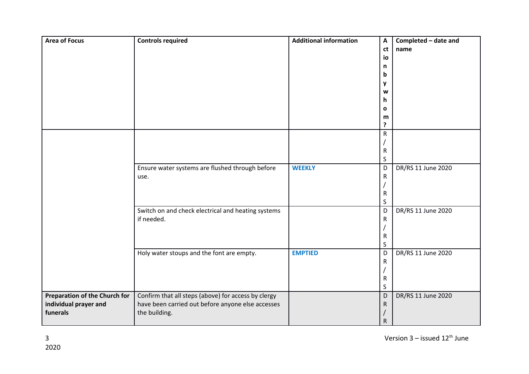| <b>Area of Focus</b>                 | <b>Controls required</b>                            | <b>Additional information</b> | A            | Completed - date and |
|--------------------------------------|-----------------------------------------------------|-------------------------------|--------------|----------------------|
|                                      |                                                     |                               | ct           | name                 |
|                                      |                                                     |                               | io           |                      |
|                                      |                                                     |                               | n            |                      |
|                                      |                                                     |                               | b            |                      |
|                                      |                                                     |                               | y            |                      |
|                                      |                                                     |                               | W            |                      |
|                                      |                                                     |                               | h            |                      |
|                                      |                                                     |                               | $\mathbf{o}$ |                      |
|                                      |                                                     |                               | m            |                      |
|                                      |                                                     |                               | ?            |                      |
|                                      |                                                     |                               | ${\sf R}$    |                      |
|                                      |                                                     |                               |              |                      |
|                                      |                                                     |                               | $\mathsf R$  |                      |
|                                      |                                                     |                               | $\sf S$      |                      |
|                                      | Ensure water systems are flushed through before     | <b>WEEKLY</b>                 | D            | DR/RS 11 June 2020   |
|                                      | use.                                                |                               | ${\sf R}$    |                      |
|                                      |                                                     |                               |              |                      |
|                                      |                                                     |                               | $\mathsf R$  |                      |
|                                      |                                                     |                               | $\sf S$      |                      |
|                                      | Switch on and check electrical and heating systems  |                               | D            | DR/RS 11 June 2020   |
|                                      | if needed.                                          |                               | $\mathsf{R}$ |                      |
|                                      |                                                     |                               |              |                      |
|                                      |                                                     |                               | $\mathsf{R}$ |                      |
|                                      |                                                     |                               | $\sf S$      |                      |
|                                      | Holy water stoups and the font are empty.           | <b>EMPTIED</b>                | D            | DR/RS 11 June 2020   |
|                                      |                                                     |                               | ${\sf R}$    |                      |
|                                      |                                                     |                               |              |                      |
|                                      |                                                     |                               | ${\sf R}$    |                      |
|                                      |                                                     |                               | $\sf S$      |                      |
| <b>Preparation of the Church for</b> | Confirm that all steps (above) for access by clergy |                               | D            | DR/RS 11 June 2020   |
| individual prayer and                | have been carried out before anyone else accesses   |                               | $\mathsf R$  |                      |
| funerals                             | the building.                                       |                               |              |                      |
|                                      |                                                     |                               | ${\sf R}$    |                      |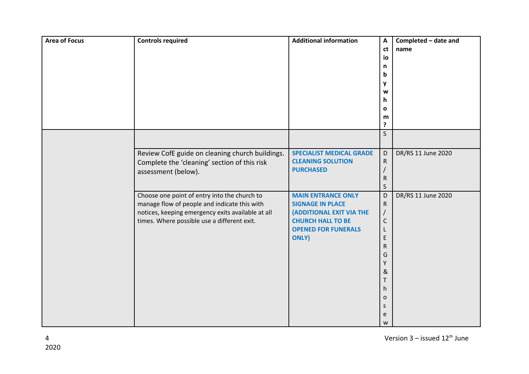| <b>Area of Focus</b> | <b>Controls required</b>                                                                                                                                                                         | <b>Additional information</b>                                                                                                                              | A<br>ct<br>io<br>n<br>b<br>y<br>W<br>h.<br>$\mathbf{o}$<br>m<br>?                                    | Completed - date and<br>name |
|----------------------|--------------------------------------------------------------------------------------------------------------------------------------------------------------------------------------------------|------------------------------------------------------------------------------------------------------------------------------------------------------------|------------------------------------------------------------------------------------------------------|------------------------------|
|                      |                                                                                                                                                                                                  |                                                                                                                                                            | $\mathsf{S}$                                                                                         |                              |
|                      | Review CofE guide on cleaning church buildings.<br>Complete the 'cleaning' section of this risk<br>assessment (below).                                                                           | <b>SPECIALIST MEDICAL GRADE</b><br><b>CLEANING SOLUTION</b><br><b>PURCHASED</b>                                                                            | D<br>${\sf R}$<br>$\sf R$<br>$\sf S$                                                                 | DR/RS 11 June 2020           |
|                      | Choose one point of entry into the church to<br>manage flow of people and indicate this with<br>notices, keeping emergency exits available at all<br>times. Where possible use a different exit. | <b>MAIN ENTRANCE ONLY</b><br><b>SIGNAGE IN PLACE</b><br>(ADDITIONAL EXIT VIA THE<br><b>CHURCH HALL TO BE</b><br><b>OPENED FOR FUNERALS</b><br><b>ONLY)</b> | D<br>${\sf R}$<br>$\mathsf C$<br>L<br>E<br>R<br>G<br>Υ<br>&<br>Τ<br>h.<br>$\mathbf 0$<br>S<br>e<br>W | DR/RS 11 June 2020           |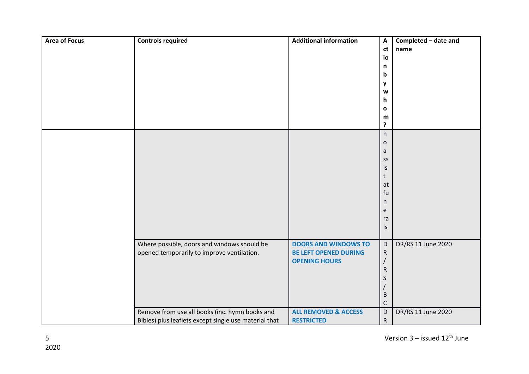| <b>Area of Focus</b> | <b>Controls required</b>                              | <b>Additional information</b>   | $\boldsymbol{\mathsf{A}}$<br>ct          | Completed - date and<br>name |
|----------------------|-------------------------------------------------------|---------------------------------|------------------------------------------|------------------------------|
|                      |                                                       |                                 | io<br>n                                  |                              |
|                      |                                                       |                                 | b                                        |                              |
|                      |                                                       |                                 | y                                        |                              |
|                      |                                                       |                                 | W                                        |                              |
|                      |                                                       |                                 | h                                        |                              |
|                      |                                                       |                                 | $\mathbf o$                              |                              |
|                      |                                                       |                                 | m                                        |                              |
|                      |                                                       |                                 | ?                                        |                              |
|                      |                                                       |                                 | $\boldsymbol{\mathsf{h}}$<br>$\mathsf O$ |                              |
|                      |                                                       |                                 | a                                        |                              |
|                      |                                                       |                                 | SS                                       |                              |
|                      |                                                       |                                 | is                                       |                              |
|                      |                                                       |                                 | t                                        |                              |
|                      |                                                       |                                 | at                                       |                              |
|                      |                                                       |                                 | fu                                       |                              |
|                      |                                                       |                                 | n                                        |                              |
|                      |                                                       |                                 | e                                        |                              |
|                      |                                                       |                                 | ra<br>ls                                 |                              |
|                      |                                                       |                                 |                                          |                              |
|                      | Where possible, doors and windows should be           | <b>DOORS AND WINDOWS TO</b>     | $\mathsf D$                              | DR/RS 11 June 2020           |
|                      | opened temporarily to improve ventilation.            | <b>BE LEFT OPENED DURING</b>    | $\mathsf R$                              |                              |
|                      |                                                       | <b>OPENING HOURS</b>            |                                          |                              |
|                      |                                                       |                                 | $\mathsf{R}$                             |                              |
|                      |                                                       |                                 | S                                        |                              |
|                      |                                                       |                                 |                                          |                              |
|                      |                                                       |                                 | $\sf B$<br>$\mathsf{C}$                  |                              |
|                      | Remove from use all books (inc. hymn books and        | <b>ALL REMOVED &amp; ACCESS</b> | $\mathsf D$                              | DR/RS 11 June 2020           |
|                      | Bibles) plus leaflets except single use material that | <b>RESTRICTED</b>               | $\mathsf{R}$                             |                              |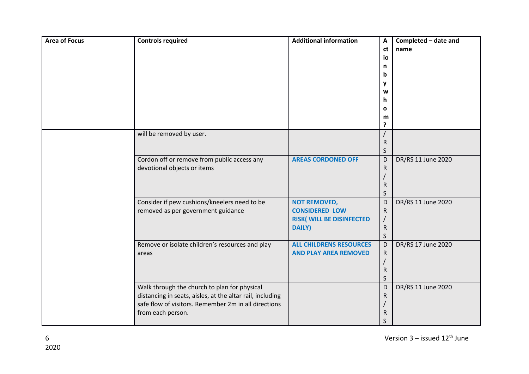| <b>Area of Focus</b> | <b>Controls required</b>                                                                                                                                                               | <b>Additional information</b>                                                                    | A<br>ct<br>io<br>n<br>b<br>y<br>W<br>h<br>$\mathbf{o}$<br>m<br>? | Completed - date and<br>name |
|----------------------|----------------------------------------------------------------------------------------------------------------------------------------------------------------------------------------|--------------------------------------------------------------------------------------------------|------------------------------------------------------------------|------------------------------|
|                      | will be removed by user.                                                                                                                                                               |                                                                                                  | ${\sf R}$<br>$\sf S$                                             |                              |
|                      | Cordon off or remove from public access any<br>devotional objects or items                                                                                                             | <b>AREAS CORDONED OFF</b>                                                                        | D<br>${\sf R}$<br>${\sf R}$<br>S                                 | DR/RS 11 June 2020           |
|                      | Consider if pew cushions/kneelers need to be<br>removed as per government guidance                                                                                                     | <b>NOT REMOVED,</b><br><b>CONSIDERED LOW</b><br><b>RISK(WILL BE DISINFECTED</b><br><b>DAILY)</b> | D<br>${\sf R}$<br>${\sf R}$<br>$\sf S$                           | DR/RS 11 June 2020           |
|                      | Remove or isolate children's resources and play<br>areas                                                                                                                               | <b>ALL CHILDRENS RESOURCES</b><br><b>AND PLAY AREA REMOVED</b>                                   | D<br>$\mathsf{R}$<br>${\sf R}$<br>S                              | DR/RS 17 June 2020           |
|                      | Walk through the church to plan for physical<br>distancing in seats, aisles, at the altar rail, including<br>safe flow of visitors. Remember 2m in all directions<br>from each person. |                                                                                                  | D<br>${\sf R}$<br>R<br>S                                         | DR/RS 11 June 2020           |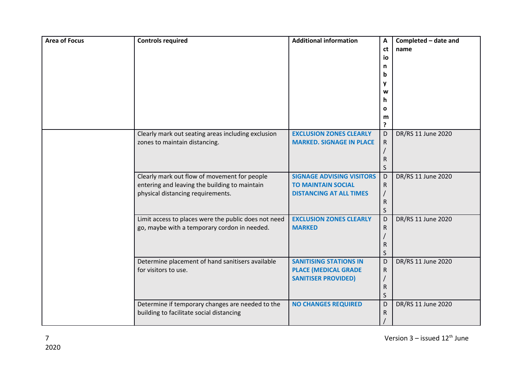| <b>Area of Focus</b> | <b>Controls required</b>                                                                                                           | <b>Additional information</b>                                                                   | A<br>ct<br>io<br>n<br>b<br>y<br>W | Completed - date and<br>name |
|----------------------|------------------------------------------------------------------------------------------------------------------------------------|-------------------------------------------------------------------------------------------------|-----------------------------------|------------------------------|
|                      |                                                                                                                                    |                                                                                                 | h<br>$\mathbf{o}$<br>m<br>?       |                              |
|                      | Clearly mark out seating areas including exclusion<br>zones to maintain distancing.                                                | <b>EXCLUSION ZONES CLEARLY</b><br><b>MARKED. SIGNAGE IN PLACE</b>                               | D<br>$\mathsf{R}$<br>R<br>S       | DR/RS 11 June 2020           |
|                      | Clearly mark out flow of movement for people<br>entering and leaving the building to maintain<br>physical distancing requirements. | <b>SIGNAGE ADVISING VISITORS</b><br><b>TO MAINTAIN SOCIAL</b><br><b>DISTANCING AT ALL TIMES</b> | D<br>R<br>R<br>S                  | DR/RS 11 June 2020           |
|                      | Limit access to places were the public does not need<br>go, maybe with a temporary cordon in needed.                               | <b>EXCLUSION ZONES CLEARLY</b><br><b>MARKED</b>                                                 | D<br>R<br>R<br>S                  | DR/RS 11 June 2020           |
|                      | Determine placement of hand sanitisers available<br>for visitors to use.                                                           | <b>SANITISING STATIONS IN</b><br><b>PLACE (MEDICAL GRADE</b><br><b>SANITISER PROVIDED)</b>      | D<br>${\sf R}$<br>R<br>S          | DR/RS 11 June 2020           |
|                      | Determine if temporary changes are needed to the<br>building to facilitate social distancing                                       | <b>NO CHANGES REQUIRED</b>                                                                      | D<br>R                            | DR/RS 11 June 2020           |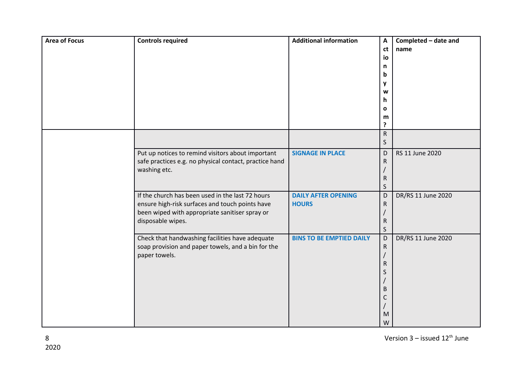| <b>Area of Focus</b> | <b>Controls required</b>                                                                                                                                                   | <b>Additional information</b>              | $\boldsymbol{\mathsf{A}}$<br>ct<br>io<br>n<br>b<br>y<br>W<br>h<br>$\mathbf{o}$<br>m<br>? | Completed - date and<br>name |
|----------------------|----------------------------------------------------------------------------------------------------------------------------------------------------------------------------|--------------------------------------------|------------------------------------------------------------------------------------------|------------------------------|
|                      |                                                                                                                                                                            |                                            | ${\sf R}$<br>$\sf S$                                                                     |                              |
|                      | Put up notices to remind visitors about important<br>safe practices e.g. no physical contact, practice hand<br>washing etc.                                                | <b>SIGNAGE IN PLACE</b>                    | D<br>$\mathsf{R}$<br>${\sf R}$<br>$\sf S$                                                | RS 11 June 2020              |
|                      | If the church has been used in the last 72 hours<br>ensure high-risk surfaces and touch points have<br>been wiped with appropriate sanitiser spray or<br>disposable wipes. | <b>DAILY AFTER OPENING</b><br><b>HOURS</b> | D<br>${\sf R}$<br>${\sf R}$<br>$\mathsf S$                                               | DR/RS 11 June 2020           |
|                      | Check that handwashing facilities have adequate<br>soap provision and paper towels, and a bin for the<br>paper towels.                                                     | <b>BINS TO BE EMPTIED DAILY</b>            | D<br>$\mathsf{R}$<br>R<br>S<br>В<br>C<br>M<br>W                                          | DR/RS 11 June 2020           |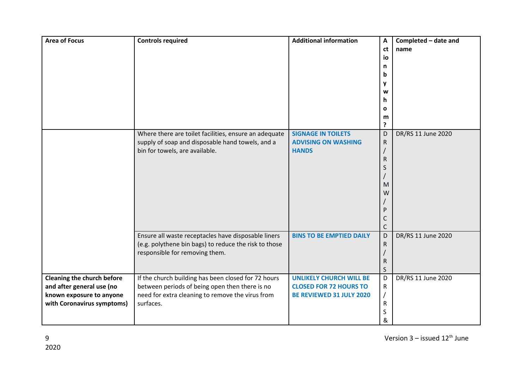| <b>Area of Focus</b>                                                                                                     | <b>Controls required</b>                                                                                                                                               | <b>Additional information</b>                                                               | A<br>ct<br>io<br>n<br>b<br>y<br>W<br>h<br>$\mathbf{o}$<br>m<br>? | Completed - date and<br>name |
|--------------------------------------------------------------------------------------------------------------------------|------------------------------------------------------------------------------------------------------------------------------------------------------------------------|---------------------------------------------------------------------------------------------|------------------------------------------------------------------|------------------------------|
|                                                                                                                          | Where there are toilet facilities, ensure an adequate<br>supply of soap and disposable hand towels, and a<br>bin for towels, are available.                            | <b>SIGNAGE IN TOILETS</b><br><b>ADVISING ON WASHING</b><br><b>HANDS</b>                     | D<br>${\sf R}$<br>R<br>S<br>M<br>W<br>P<br>C<br>$\mathsf{C}$     | DR/RS 11 June 2020           |
|                                                                                                                          | Ensure all waste receptacles have disposable liners<br>(e.g. polythene bin bags) to reduce the risk to those<br>responsible for removing them.                         | <b>BINS TO BE EMPTIED DAILY</b>                                                             | D<br>$\mathsf{R}$<br>$\mathsf{R}$<br>S                           | DR/RS 11 June 2020           |
| <b>Cleaning the church before</b><br>and after general use (no<br>known exposure to anyone<br>with Coronavirus symptoms) | If the church building has been closed for 72 hours<br>between periods of being open then there is no<br>need for extra cleaning to remove the virus from<br>surfaces. | <b>UNLIKELY CHURCH WILL BE</b><br><b>CLOSED FOR 72 HOURS TO</b><br>BE REVIEWED 31 JULY 2020 | D<br>${\sf R}$<br>$\overline{1}$<br>$\mathsf{R}$<br>S<br>&       | DR/RS 11 June 2020           |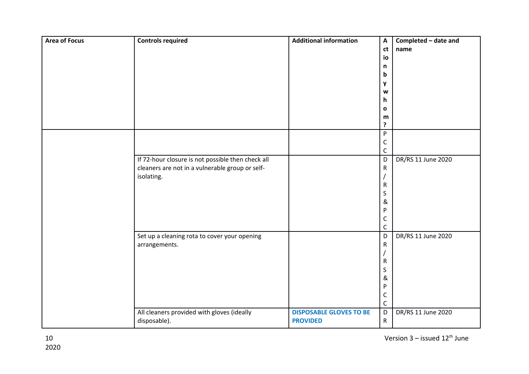| <b>Area of Focus</b> | <b>Controls required</b>                          | <b>Additional information</b>  | $\boldsymbol{\mathsf{A}}$ | Completed - date and |
|----------------------|---------------------------------------------------|--------------------------------|---------------------------|----------------------|
|                      |                                                   |                                | ct                        | name                 |
|                      |                                                   |                                | io                        |                      |
|                      |                                                   |                                | n                         |                      |
|                      |                                                   |                                | b                         |                      |
|                      |                                                   |                                | y                         |                      |
|                      |                                                   |                                | W                         |                      |
|                      |                                                   |                                | h                         |                      |
|                      |                                                   |                                | $\mathbf o$               |                      |
|                      |                                                   |                                | m<br>?                    |                      |
|                      |                                                   |                                | P                         |                      |
|                      |                                                   |                                | C                         |                      |
|                      |                                                   |                                | C                         |                      |
|                      | If 72-hour closure is not possible then check all |                                | D                         | DR/RS 11 June 2020   |
|                      | cleaners are not in a vulnerable group or self-   |                                | ${\sf R}$                 |                      |
|                      | isolating.                                        |                                |                           |                      |
|                      |                                                   |                                | ${\sf R}$                 |                      |
|                      |                                                   |                                | S                         |                      |
|                      |                                                   |                                | &                         |                      |
|                      |                                                   |                                | P                         |                      |
|                      |                                                   |                                | С                         |                      |
|                      |                                                   |                                | $\mathsf C$               |                      |
|                      | Set up a cleaning rota to cover your opening      |                                | D                         | DR/RS 11 June 2020   |
|                      | arrangements.                                     |                                | ${\sf R}$                 |                      |
|                      |                                                   |                                | $\mathsf R$               |                      |
|                      |                                                   |                                | S                         |                      |
|                      |                                                   |                                | &                         |                      |
|                      |                                                   |                                | P                         |                      |
|                      |                                                   |                                | С                         |                      |
|                      |                                                   |                                | $\mathsf C$               |                      |
|                      | All cleaners provided with gloves (ideally        | <b>DISPOSABLE GLOVES TO BE</b> | $\mathsf D$               | DR/RS 11 June 2020   |
|                      | disposable).                                      | <b>PROVIDED</b>                | ${\sf R}$                 |                      |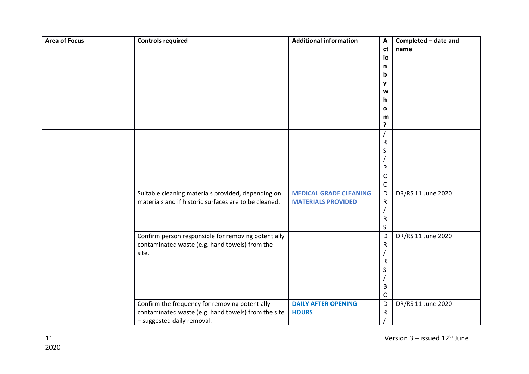| <b>Area of Focus</b> | <b>Controls required</b>                              | <b>Additional information</b> | $\boldsymbol{\mathsf{A}}$ | Completed - date and |
|----------------------|-------------------------------------------------------|-------------------------------|---------------------------|----------------------|
|                      |                                                       |                               | ct                        | name                 |
|                      |                                                       |                               | io                        |                      |
|                      |                                                       |                               | n                         |                      |
|                      |                                                       |                               | b                         |                      |
|                      |                                                       |                               | y                         |                      |
|                      |                                                       |                               | W                         |                      |
|                      |                                                       |                               | h.                        |                      |
|                      |                                                       |                               | O                         |                      |
|                      |                                                       |                               | m                         |                      |
|                      |                                                       |                               | ?                         |                      |
|                      |                                                       |                               |                           |                      |
|                      |                                                       |                               | R                         |                      |
|                      |                                                       |                               | S                         |                      |
|                      |                                                       |                               |                           |                      |
|                      |                                                       |                               | P                         |                      |
|                      |                                                       |                               | С                         |                      |
|                      |                                                       |                               | C                         |                      |
|                      | Suitable cleaning materials provided, depending on    | <b>MEDICAL GRADE CLEANING</b> | D                         | DR/RS 11 June 2020   |
|                      | materials and if historic surfaces are to be cleaned. | <b>MATERIALS PROVIDED</b>     | $\mathsf R$               |                      |
|                      |                                                       |                               |                           |                      |
|                      |                                                       |                               | R                         |                      |
|                      |                                                       |                               | S                         |                      |
|                      | Confirm person responsible for removing potentially   |                               | D                         | DR/RS 11 June 2020   |
|                      | contaminated waste (e.g. hand towels) from the        |                               | $\mathsf{R}$              |                      |
|                      | site.                                                 |                               |                           |                      |
|                      |                                                       |                               | R                         |                      |
|                      |                                                       |                               | S                         |                      |
|                      |                                                       |                               |                           |                      |
|                      |                                                       |                               | В                         |                      |
|                      |                                                       |                               | С                         |                      |
|                      | Confirm the frequency for removing potentially        | <b>DAILY AFTER OPENING</b>    | D                         | DR/RS 11 June 2020   |
|                      | contaminated waste (e.g. hand towels) from the site   | <b>HOURS</b>                  | R                         |                      |
|                      | - suggested daily removal.                            |                               |                           |                      |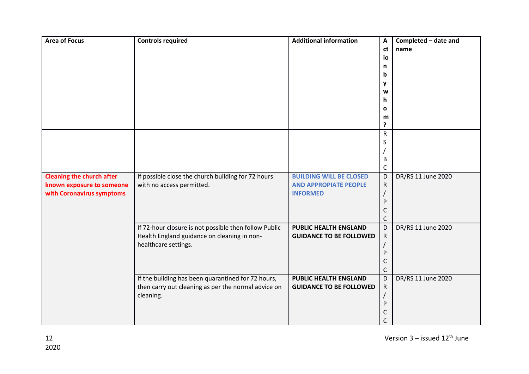| <b>Area of Focus</b>             | <b>Controls required</b>                                                                             | <b>Additional information</b>  | A            | Completed - date and |
|----------------------------------|------------------------------------------------------------------------------------------------------|--------------------------------|--------------|----------------------|
|                                  |                                                                                                      |                                | ct           | name                 |
|                                  |                                                                                                      |                                | io           |                      |
|                                  |                                                                                                      |                                | n            |                      |
|                                  |                                                                                                      |                                | b            |                      |
|                                  |                                                                                                      |                                | y            |                      |
|                                  |                                                                                                      |                                | W            |                      |
|                                  |                                                                                                      |                                | h            |                      |
|                                  |                                                                                                      |                                | $\mathbf{o}$ |                      |
|                                  |                                                                                                      |                                | m            |                      |
|                                  |                                                                                                      |                                | ?            |                      |
|                                  |                                                                                                      |                                | ${\sf R}$    |                      |
|                                  |                                                                                                      |                                | S            |                      |
|                                  |                                                                                                      |                                |              |                      |
|                                  |                                                                                                      |                                | B            |                      |
|                                  |                                                                                                      |                                | $\mathsf{C}$ |                      |
| <b>Cleaning the church after</b> | If possible close the church building for 72 hours                                                   | <b>BUILDING WILL BE CLOSED</b> | D            | DR/RS 11 June 2020   |
| known exposure to someone        | with no access permitted.                                                                            | <b>AND APPROPIATE PEOPLE</b>   | $\mathsf{R}$ |                      |
| with Coronavirus symptoms        |                                                                                                      | <b>INFORMED</b>                |              |                      |
|                                  |                                                                                                      |                                | P            |                      |
|                                  |                                                                                                      |                                | C            |                      |
|                                  |                                                                                                      | <b>PUBLIC HEALTH ENGLAND</b>   | C            | DR/RS 11 June 2020   |
|                                  | If 72-hour closure is not possible then follow Public<br>Health England guidance on cleaning in non- | <b>GUIDANCE TO BE FOLLOWED</b> | D            |                      |
|                                  | healthcare settings.                                                                                 |                                | ${\sf R}$    |                      |
|                                  |                                                                                                      |                                | P            |                      |
|                                  |                                                                                                      |                                | C            |                      |
|                                  |                                                                                                      |                                | $\mathsf{C}$ |                      |
|                                  | If the building has been quarantined for 72 hours,                                                   | <b>PUBLIC HEALTH ENGLAND</b>   | D            | DR/RS 11 June 2020   |
|                                  | then carry out cleaning as per the normal advice on                                                  | <b>GUIDANCE TO BE FOLLOWED</b> | ${\sf R}$    |                      |
|                                  | cleaning.                                                                                            |                                |              |                      |
|                                  |                                                                                                      |                                | P            |                      |
|                                  |                                                                                                      |                                | C            |                      |
|                                  |                                                                                                      |                                | C            |                      |